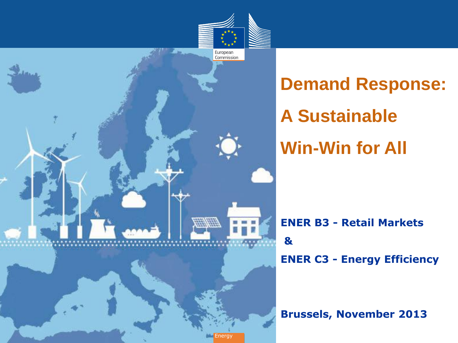

**Demand Response: A Sustainable Win-Win for All**

**ENER B3 - Retail Markets & ENER C3 - Energy Efficiency**

**Brussels, November 2013**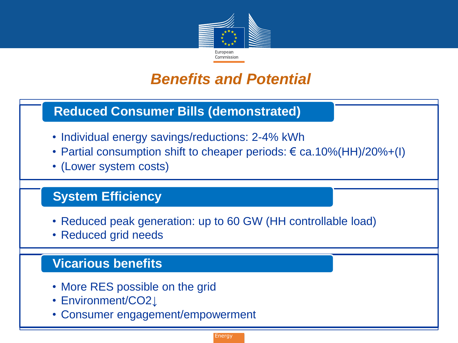

## *Benefits and Potential*

### **Reduced Consumer Bills (demonstrated)**

- Individual energy savings/reductions: 2-4% kWh
- Partial consumption shift to cheaper periods:  $\epsilon$  ca.10%(HH)/20%+(I)
- (Lower system costs)

### **System Efficiency**

- Reduced peak generation: up to 60 GW (HH controllable load)
- Reduced grid needs

### **Vicarious benefits**

- More RES possible on the grid
- Environment/CO2**↓**
- Consumer engagement/empowerment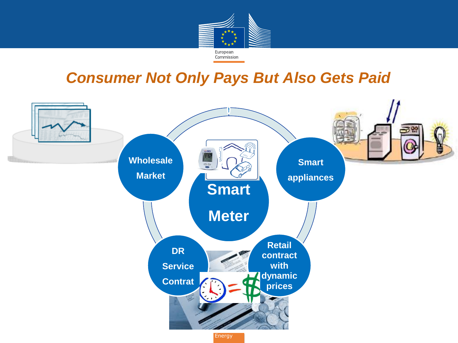

## **Consumer Not Only Pays But Also Gets Paid**

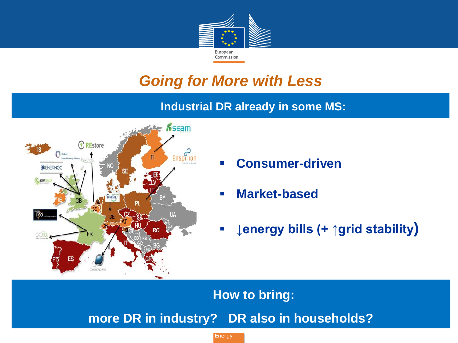

# *Going for More with Less*

### **Industrial DR already in some MS:**



- **Consumer-driven**
- **Market-based**
- **↓energy bills (+ ↑grid stability)**

**How to bring: more DR in industry? DR also in households?**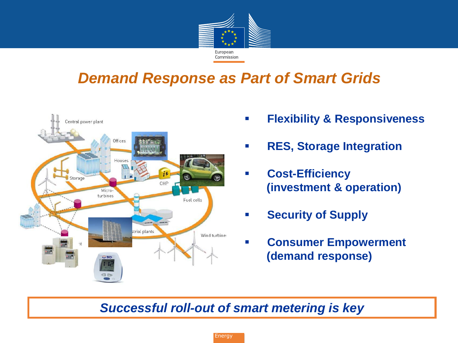

## *Demand Response as Part of Smart Grids*



- **Flexibility & Responsiveness**
- **RES, Storage Integration**
- **Cost-Efficiency (investment & operation)**
- **Security of Supply**
- **Consumer Empowerment (demand response)**

### *Successful roll-out of smart metering is key*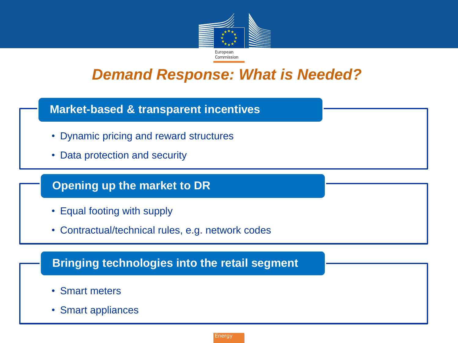

## *Demand Response: What is Needed?*

#### **Market-based & transparent incentives**

- Dynamic pricing and reward structures
- Data protection and security

#### **Opening up the market to DR**

- Equal footing with supply
- Contractual/technical rules, e.g. network codes

#### **Bringing technologies into the retail segment**

- Smart meters
- Smart appliances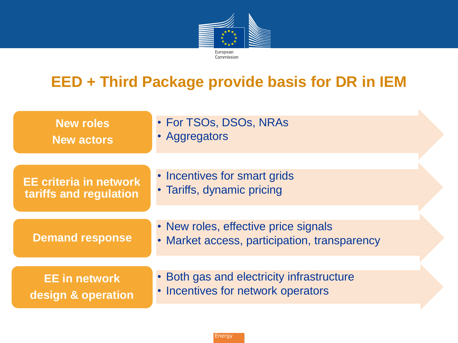

#### . *response;*  **EED + Third Package provide basis for DR in IEM**

| <b>New roles</b><br><b>New actors</b>                   | • For TSOs, DSOs, NRAs<br>• Aggregators                                              |  |
|---------------------------------------------------------|--------------------------------------------------------------------------------------|--|
| <b>EE criteria in network</b><br>tariffs and regulation | • Incentives for smart grids<br>• Tariffs, dynamic pricing                           |  |
| <b>Demand response</b>                                  | • New roles, effective price signals<br>• Market access, participation, transparency |  |
| <b>EE</b> in network<br>design & operation              | • Both gas and electricity infrastructure<br>• Incentives for network operators      |  |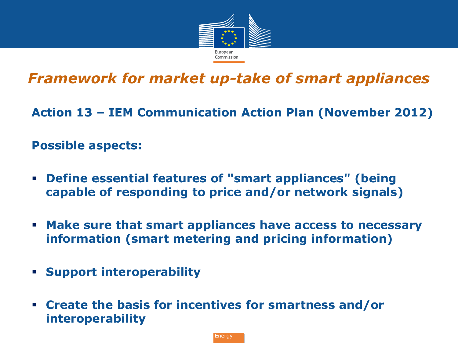

## *Framework for market up-take of smart appliances*

**Action 13 – IEM Communication Action Plan (November 2012)**

### **Possible aspects:**

- **Define essential features of "smart appliances" (being capable of responding to price and/or network signals)**
- **Make sure that smart appliances have access to necessary information (smart metering and pricing information)**
- **Support interoperability**
- **Create the basis for incentives for smartness and/or interoperability**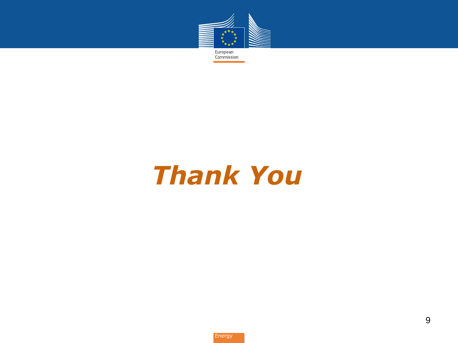

*Thank You*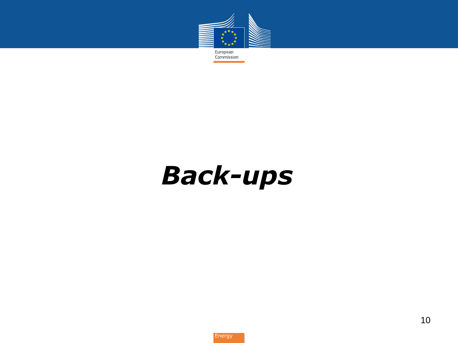

*Back-ups*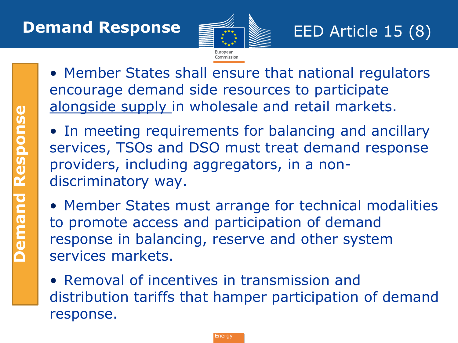

- **Demand Response Demand Response**
- Member States shall ensure that national regulators encourage demand side resources to participate alongside supply in wholesale and retail markets.
- In meeting requirements for balancing and ancillary services, TSOs and DSO must treat demand response providers, including aggregators, in a nondiscriminatory way.
- Member States must arrange for technical modalities to promote access and participation of demand response in balancing, reserve and other system services markets.
- Removal of incentives in transmission and distribution tariffs that hamper participation of demand response.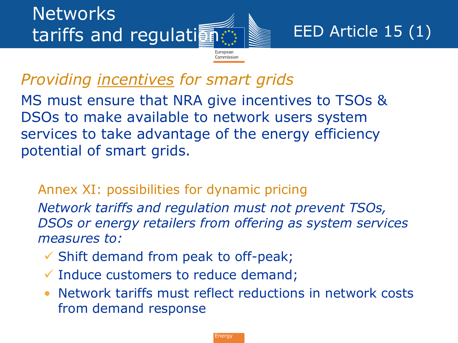# *Providing incentives for smart grids*

MS must ensure that NRA give incentives to TSOs & DSOs to make available to network users system services to take advantage of the energy efficiency potential of smart grids.

### • Annex XI: possibilities for dynamic pricing

• *Network tariffs and regulation must not prevent TSOs, DSOs or energy retailers from offering as system services measures to:*

Commissior

- $\checkmark$  Shift demand from peak to off-peak;
- $\checkmark$  Induce customers to reduce demand;
- Network tariffs must reflect reductions in network costs from demand response